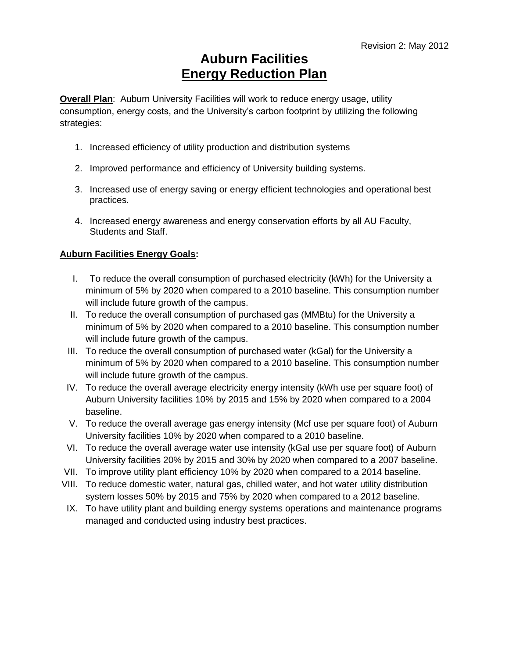**Overall Plan**: Auburn University Facilities will work to reduce energy usage, utility consumption, energy costs, and the University's carbon footprint by utilizing the following strategies:

- 1. Increased efficiency of utility production and distribution systems
- 2. Improved performance and efficiency of University building systems.
- 3. Increased use of energy saving or energy efficient technologies and operational best practices.
- 4. Increased energy awareness and energy conservation efforts by all AU Faculty, Students and Staff.

### **Auburn Facilities Energy Goals:**

- I. To reduce the overall consumption of purchased electricity (kWh) for the University a minimum of 5% by 2020 when compared to a 2010 baseline. This consumption number will include future growth of the campus.
- II. To reduce the overall consumption of purchased gas (MMBtu) for the University a minimum of 5% by 2020 when compared to a 2010 baseline. This consumption number will include future growth of the campus.
- III. To reduce the overall consumption of purchased water (kGal) for the University a minimum of 5% by 2020 when compared to a 2010 baseline. This consumption number will include future growth of the campus.
- IV. To reduce the overall average electricity energy intensity (kWh use per square foot) of Auburn University facilities 10% by 2015 and 15% by 2020 when compared to a 2004 baseline.
- V. To reduce the overall average gas energy intensity (Mcf use per square foot) of Auburn University facilities 10% by 2020 when compared to a 2010 baseline.
- VI. To reduce the overall average water use intensity (kGal use per square foot) of Auburn University facilities 20% by 2015 and 30% by 2020 when compared to a 2007 baseline.
- VII. To improve utility plant efficiency 10% by 2020 when compared to a 2014 baseline.
- VIII. To reduce domestic water, natural gas, chilled water, and hot water utility distribution system losses 50% by 2015 and 75% by 2020 when compared to a 2012 baseline.
- IX. To have utility plant and building energy systems operations and maintenance programs managed and conducted using industry best practices.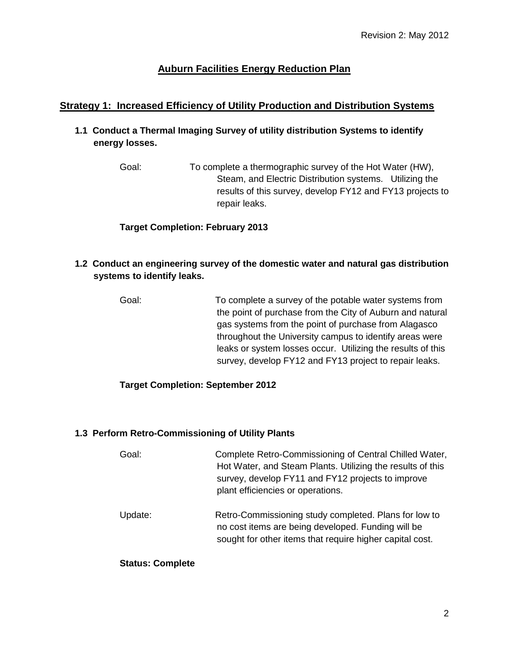## **Strategy 1: Increased Efficiency of Utility Production and Distribution Systems**

- **1.1 Conduct a Thermal Imaging Survey of utility distribution Systems to identify energy losses.**
	- Goal: To complete a thermographic survey of the Hot Water (HW), Steam, and Electric Distribution systems. Utilizing the results of this survey, develop FY12 and FY13 projects to repair leaks.

### **Target Completion: February 2013**

- **1.2 Conduct an engineering survey of the domestic water and natural gas distribution systems to identify leaks.** 
	- Goal: To complete a survey of the potable water systems from the point of purchase from the City of Auburn and natural gas systems from the point of purchase from Alagasco throughout the University campus to identify areas were leaks or system losses occur. Utilizing the results of this survey, develop FY12 and FY13 project to repair leaks.

### **Target Completion: September 2012**

#### **1.3 Perform Retro-Commissioning of Utility Plants**

- Goal: Complete Retro-Commissioning of Central Chilled Water, Hot Water, and Steam Plants. Utilizing the results of this survey, develop FY11 and FY12 projects to improve plant efficiencies or operations.
- Update: Retro-Commissioning study completed. Plans for low to no cost items are being developed. Funding will be sought for other items that require higher capital cost.

#### **Status: Complete**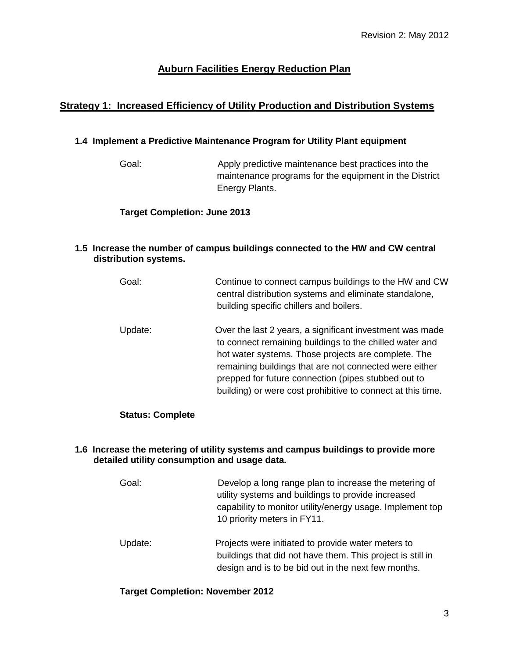# **Strategy 1: Increased Efficiency of Utility Production and Distribution Systems**

### **1.4 Implement a Predictive Maintenance Program for Utility Plant equipment**

Goal: Apply predictive maintenance best practices into the maintenance programs for the equipment in the District Energy Plants.

### **Target Completion: June 2013**

#### **1.5 Increase the number of campus buildings connected to the HW and CW central distribution systems.**

| Goal:   | Continue to connect campus buildings to the HW and CW<br>central distribution systems and eliminate standalone,<br>building specific chillers and boilers.                                                                                                                                                                                                 |
|---------|------------------------------------------------------------------------------------------------------------------------------------------------------------------------------------------------------------------------------------------------------------------------------------------------------------------------------------------------------------|
| Update: | Over the last 2 years, a significant investment was made<br>to connect remaining buildings to the chilled water and<br>hot water systems. Those projects are complete. The<br>remaining buildings that are not connected were either<br>prepped for future connection (pipes stubbed out to<br>building) or were cost prohibitive to connect at this time. |

### **Status: Complete**

#### **1.6 Increase the metering of utility systems and campus buildings to provide more detailed utility consumption and usage data.**

| Goal:    | Develop a long range plan to increase the metering of<br>utility systems and buildings to provide increased<br>capability to monitor utility/energy usage. Implement top<br>10 priority meters in FY11. |
|----------|---------------------------------------------------------------------------------------------------------------------------------------------------------------------------------------------------------|
| TIndate∙ | Projects were initiated to provide water meters to                                                                                                                                                      |

Update: Projects were initiated to provide water meters to buildings that did not have them. This project is still in design and is to be bid out in the next few months.

### **Target Completion: November 2012**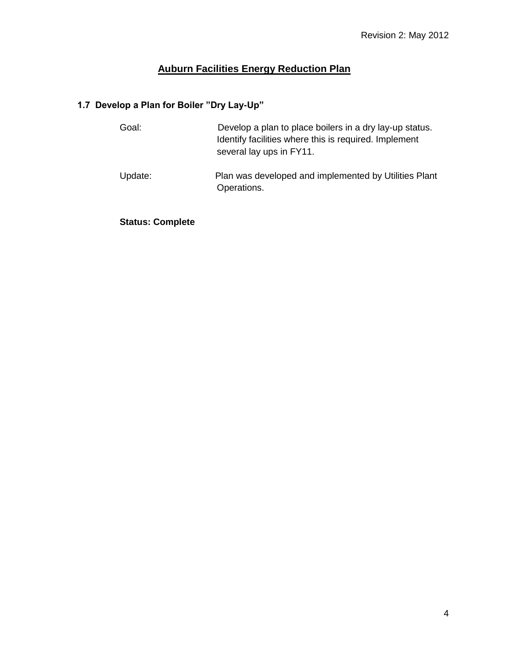# **1.7 Develop a Plan for Boiler "Dry Lay-Up"**

| Goal:   | Develop a plan to place boilers in a dry lay-up status.<br>Identify facilities where this is required. Implement<br>several lay ups in FY11. |
|---------|----------------------------------------------------------------------------------------------------------------------------------------------|
| Update: | Plan was developed and implemented by Utilities Plant<br>Operations.                                                                         |

**Status: Complete**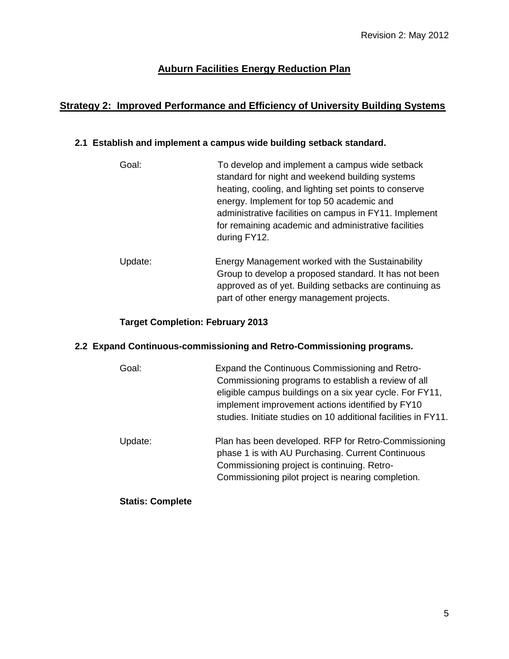# **Strategy 2: Improved Performance and Efficiency of University Building Systems**

### **2.1 Establish and implement a campus wide building setback standard.**

- Goal: To develop and implement a campus wide setback standard for night and weekend building systems heating, cooling, and lighting set points to conserve energy. Implement for top 50 academic and administrative facilities on campus in FY11. Implement for remaining academic and administrative facilities during FY12. Update: Energy Management worked with the Sustainability
- Group to develop a proposed standard. It has not been approved as of yet. Building setbacks are continuing as part of other energy management projects.

### **Target Completion: February 2013**

### **2.2 Expand Continuous-commissioning and Retro-Commissioning programs.**

| Goal:   | Expand the Continuous Commissioning and Retro-<br>Commissioning programs to establish a review of all<br>eligible campus buildings on a six year cycle. For FY11,<br>implement improvement actions identified by FY10<br>studies. Initiate studies on 10 additional facilities in FY11. |
|---------|-----------------------------------------------------------------------------------------------------------------------------------------------------------------------------------------------------------------------------------------------------------------------------------------|
| Update: | Plan has been developed. RFP for Retro-Commissioning<br>phase 1 is with AU Purchasing. Current Continuous<br>Commissioning project is continuing. Retro-<br>Commissioning pilot project is nearing completion.                                                                          |

**Statis: Complete**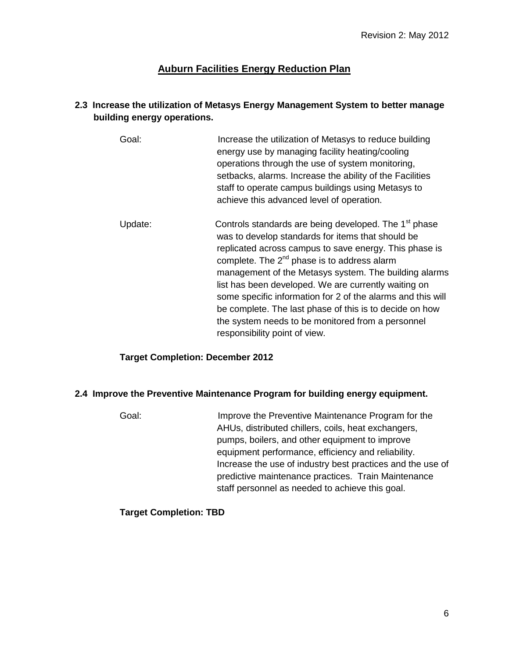### **2.3 Increase the utilization of Metasys Energy Management System to better manage building energy operations.**

- Goal: Increase the utilization of Metasys to reduce building energy use by managing facility heating/cooling operations through the use of system monitoring, setbacks, alarms. Increase the ability of the Facilities staff to operate campus buildings using Metasys to achieve this advanced level of operation.
- Update: Controls standards are being developed. The  $1<sup>st</sup>$  phase was to develop standards for items that should be replicated across campus to save energy. This phase is complete. The  $2^{nd}$  phase is to address alarm management of the Metasys system. The building alarms list has been developed. We are currently waiting on some specific information for 2 of the alarms and this will be complete. The last phase of this is to decide on how the system needs to be monitored from a personnel responsibility point of view.

### **Target Completion: December 2012**

#### **2.4 Improve the Preventive Maintenance Program for building energy equipment.**

Goal: Improve the Preventive Maintenance Program for the AHUs, distributed chillers, coils, heat exchangers, pumps, boilers, and other equipment to improve equipment performance, efficiency and reliability. Increase the use of industry best practices and the use of predictive maintenance practices. Train Maintenance staff personnel as needed to achieve this goal.

### **Target Completion: TBD**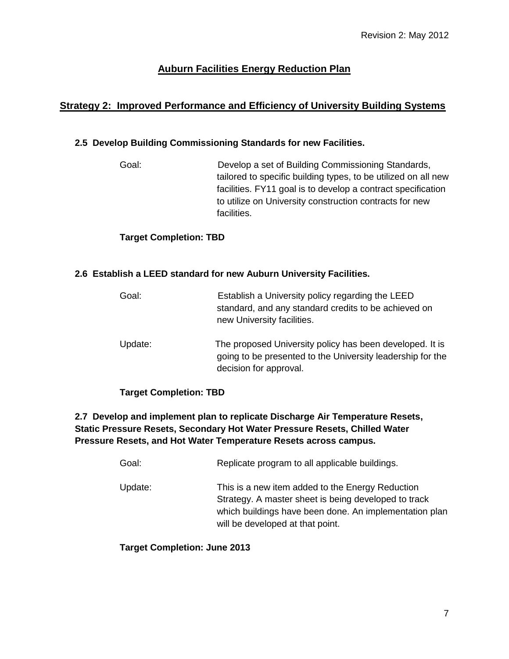# **Strategy 2: Improved Performance and Efficiency of University Building Systems**

### **2.5 Develop Building Commissioning Standards for new Facilities.**

Goal: Develop a set of Building Commissioning Standards, tailored to specific building types, to be utilized on all new facilities. FY11 goal is to develop a contract specification to utilize on University construction contracts for new facilities.

### **Target Completion: TBD**

#### **2.6 Establish a LEED standard for new Auburn University Facilities.**

| Goal:   | Establish a University policy regarding the LEED<br>standard, and any standard credits to be achieved on<br>new University facilities.           |
|---------|--------------------------------------------------------------------------------------------------------------------------------------------------|
| Update: | The proposed University policy has been developed. It is<br>going to be presented to the University leadership for the<br>decision for approval. |

### **Target Completion: TBD**

### **2.7 Develop and implement plan to replicate Discharge Air Temperature Resets, Static Pressure Resets, Secondary Hot Water Pressure Resets, Chilled Water Pressure Resets, and Hot Water Temperature Resets across campus.**

| Goal:   | Replicate program to all applicable buildings.                                                                                                                                                         |
|---------|--------------------------------------------------------------------------------------------------------------------------------------------------------------------------------------------------------|
| Update: | This is a new item added to the Energy Reduction<br>Strategy. A master sheet is being developed to track<br>which buildings have been done. An implementation plan<br>will be developed at that point. |

### **Target Completion: June 2013**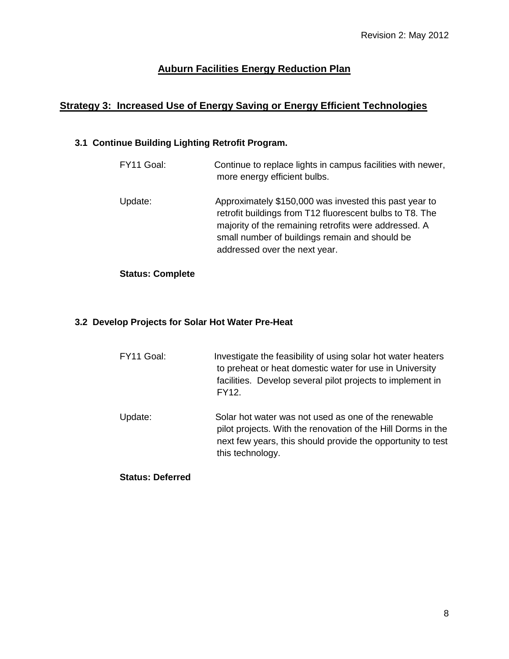# **Strategy 3: Increased Use of Energy Saving or Energy Efficient Technologies**

# **3.1 Continue Building Lighting Retrofit Program.**

| FY11 Goal: | Continue to replace lights in campus facilities with newer,<br>more energy efficient bulbs.                                                                                                                                                                    |
|------------|----------------------------------------------------------------------------------------------------------------------------------------------------------------------------------------------------------------------------------------------------------------|
| Update:    | Approximately \$150,000 was invested this past year to<br>retrofit buildings from T12 fluorescent bulbs to T8. The<br>majority of the remaining retrofits were addressed. A<br>small number of buildings remain and should be<br>addressed over the next year. |

## **Status: Complete**

## **3.2 Develop Projects for Solar Hot Water Pre-Heat**

| FY11 Goal: | Investigate the feasibility of using solar hot water heaters<br>to preheat or heat domestic water for use in University<br>facilities. Develop several pilot projects to implement in<br><b>FY12.</b> |
|------------|-------------------------------------------------------------------------------------------------------------------------------------------------------------------------------------------------------|
| Update:    | Solar hot water was not used as one of the renewable<br>pilot projects. With the renovation of the Hill Dorms in the                                                                                  |
|            | next few years, this should provide the opportunity to test                                                                                                                                           |

this technology.

#### **Status: Deferred**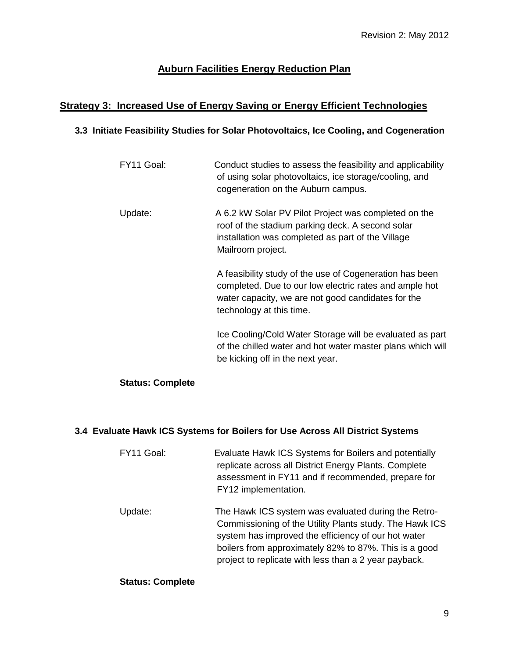# **Strategy 3: Increased Use of Energy Saving or Energy Efficient Technologies**

### **3.3 Initiate Feasibility Studies for Solar Photovoltaics, Ice Cooling, and Cogeneration**

| FY11 Goal: | Conduct studies to assess the feasibility and applicability<br>of using solar photovoltaics, ice storage/cooling, and<br>cogeneration on the Auburn campus.                                         |
|------------|-----------------------------------------------------------------------------------------------------------------------------------------------------------------------------------------------------|
| Update:    | A 6.2 kW Solar PV Pilot Project was completed on the<br>roof of the stadium parking deck. A second solar<br>installation was completed as part of the Village<br>Mailroom project.                  |
|            | A feasibility study of the use of Cogeneration has been<br>completed. Due to our low electric rates and ample hot<br>water capacity, we are not good candidates for the<br>technology at this time. |
|            | Ice Cooling/Cold Water Storage will be evaluated as part<br>of the chilled water and hot water master plans which will<br>be kicking off in the next year.                                          |

## **Status: Complete**

### **3.4 Evaluate Hawk ICS Systems for Boilers for Use Across All District Systems**

| FY11 Goal: | Evaluate Hawk ICS Systems for Boilers and potentially<br>replicate across all District Energy Plants. Complete<br>assessment in FY11 and if recommended, prepare for<br>FY12 implementation.                                                                                            |
|------------|-----------------------------------------------------------------------------------------------------------------------------------------------------------------------------------------------------------------------------------------------------------------------------------------|
| Update:    | The Hawk ICS system was evaluated during the Retro-<br>Commissioning of the Utility Plants study. The Hawk ICS<br>system has improved the efficiency of our hot water<br>boilers from approximately 82% to 87%. This is a good<br>project to replicate with less than a 2 year payback. |

#### **Status: Complete**